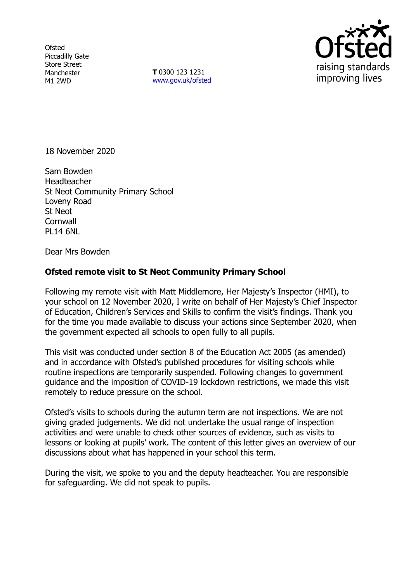**Ofsted** Piccadilly Gate Store Street Manchester M1 2WD

**T** 0300 123 1231 [www.gov.uk/ofsted](http://www.gov.uk/ofsted)



18 November 2020

Sam Bowden **Headteacher** St Neot Community Primary School Loveny Road St Neot **Cornwall** PL14 6NL

Dear Mrs Bowden

## **Ofsted remote visit to St Neot Community Primary School**

Following my remote visit with Matt Middlemore, Her Majesty's Inspector (HMI), to your school on 12 November 2020, I write on behalf of Her Majesty's Chief Inspector of Education, Children's Services and Skills to confirm the visit's findings. Thank you for the time you made available to discuss your actions since September 2020, when the government expected all schools to open fully to all pupils.

This visit was conducted under section 8 of the Education Act 2005 (as amended) and in accordance with Ofsted's published procedures for visiting schools while routine inspections are temporarily suspended. Following changes to government guidance and the imposition of COVID-19 lockdown restrictions, we made this visit remotely to reduce pressure on the school.

Ofsted's visits to schools during the autumn term are not inspections. We are not giving graded judgements. We did not undertake the usual range of inspection activities and were unable to check other sources of evidence, such as visits to lessons or looking at pupils' work. The content of this letter gives an overview of our discussions about what has happened in your school this term.

During the visit, we spoke to you and the deputy headteacher. You are responsible for safeguarding. We did not speak to pupils.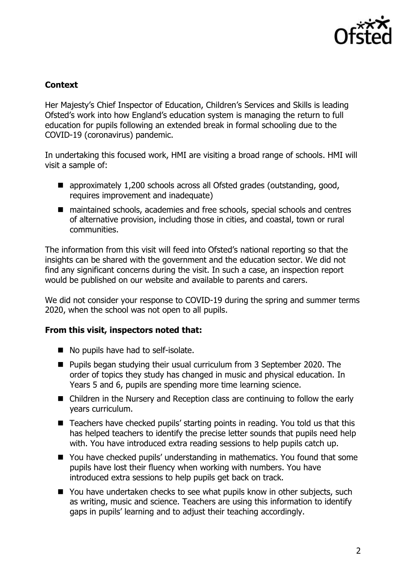

## **Context**

Her Majesty's Chief Inspector of Education, Children's Services and Skills is leading Ofsted's work into how England's education system is managing the return to full education for pupils following an extended break in formal schooling due to the COVID-19 (coronavirus) pandemic.

In undertaking this focused work, HMI are visiting a broad range of schools. HMI will visit a sample of:

- approximately 1,200 schools across all Ofsted grades (outstanding, good, requires improvement and inadequate)
- maintained schools, academies and free schools, special schools and centres of alternative provision, including those in cities, and coastal, town or rural communities.

The information from this visit will feed into Ofsted's national reporting so that the insights can be shared with the government and the education sector. We did not find any significant concerns during the visit. In such a case, an inspection report would be published on our website and available to parents and carers.

We did not consider your response to COVID-19 during the spring and summer terms 2020, when the school was not open to all pupils.

## **From this visit, inspectors noted that:**

- No pupils have had to self-isolate.
- Pupils began studying their usual curriculum from 3 September 2020. The order of topics they study has changed in music and physical education. In Years 5 and 6, pupils are spending more time learning science.
- Children in the Nursery and Reception class are continuing to follow the early years curriculum.
- Teachers have checked pupils' starting points in reading. You told us that this has helped teachers to identify the precise letter sounds that pupils need help with. You have introduced extra reading sessions to help pupils catch up.
- You have checked pupils' understanding in mathematics. You found that some pupils have lost their fluency when working with numbers. You have introduced extra sessions to help pupils get back on track.
- You have undertaken checks to see what pupils know in other subjects, such as writing, music and science. Teachers are using this information to identify gaps in pupils' learning and to adjust their teaching accordingly.